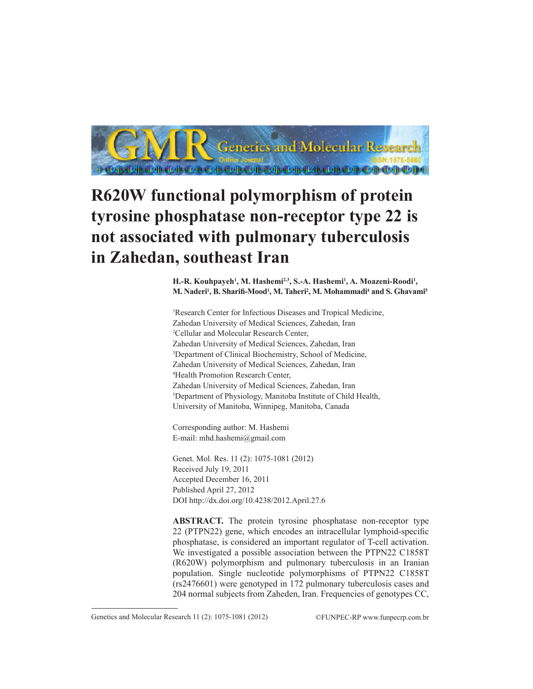

# **R620W functional polymorphism of protein tyrosine phosphatase non-receptor type 22 is not associated with pulmonary tuberculosis in Zahedan, southeast Iran**

H.-R. Kouhpayeh<sup>1</sup>, M. Hashemi<sup>2,3</sup>, S.-A. Hashemi<sup>1</sup>, A. Moazeni-Roodi<sup>1</sup>, **M. Naderi1 , B. Sharifi-Mood<sup>1</sup> , M. Taheri2 , M. Mohammadi4 and S. Ghavami5**

1 Research Center for Infectious Diseases and Tropical Medicine, Zahedan University of Medical Sciences, Zahedan, Iran 2 Cellular and Molecular Research Center, Zahedan University of Medical Sciences, Zahedan, Iran 3 Department of Clinical Biochemistry, School of Medicine, Zahedan University of Medical Sciences, Zahedan, Iran 4 Health Promotion Research Center, Zahedan University of Medical Sciences, Zahedan, Iran 5 Department of Physiology, Manitoba Institute of Child Health, University of Manitoba, Winnipeg, Manitoba, Canada

Corresponding author: M. Hashemi E-mail: mhd.hashemi@gmail.com

Genet. Mol. Res. 11 (2): 1075-1081 (2012) Received July 19, 2011 Accepted December 16, 2011 Published April 27, 2012 DOI http://dx.doi.org/10.4238/2012.April.27.6

**ABSTRACT.** The protein tyrosine phosphatase non-receptor type 22 (PTPN22) gene, which encodes an intracellular lymphoid-specific phosphatase, is considered an important regulator of T-cell activation. We investigated a possible association between the PTPN22 C1858T (R620W) polymorphism and pulmonary tuberculosis in an Iranian population. Single nucleotide polymorphisms of PTPN22 C1858T (rs2476601) were genotyped in 172 pulmonary tuberculosis cases and 204 normal subjects from Zaheden, Iran. Frequencies of genotypes CC,

Genetics and Molecular Research 11 (2): 1075-1081 (2012) ©FUNPEC-RP www.funpecrp.com.br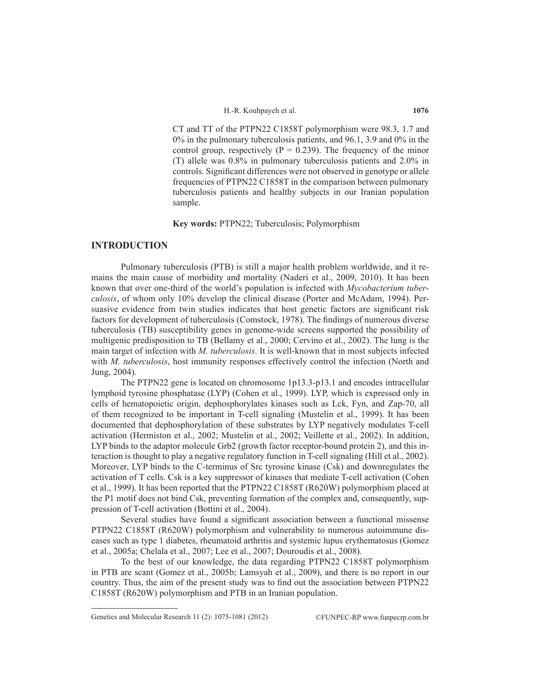CT and TT of the PTPN22 C1858T polymorphism were 98.3, 1.7 and 0% in the pulmonary tuberculosis patients, and 96.1, 3.9 and 0% in the control group, respectively ( $P = 0.239$ ). The frequency of the minor (T) allele was 0.8% in pulmonary tuberculosis patients and 2.0% in controls. Significant differences were not observed in genotype or allele frequencies of PTPN22 C1858T in the comparison between pulmonary tuberculosis patients and healthy subjects in our Iranian population sample.

**Key words:** PTPN22; Tuberculosis; Polymorphism

## **INTRODUCTION**

Pulmonary tuberculosis (PTB) is still a major health problem worldwide, and it remains the main cause of morbidity and mortality (Naderi et al., 2009, 2010). It has been known that over one-third of the world's population is infected with *Mycobacterium tuberculosis*, of whom only 10% develop the clinical disease (Porter and McAdam, 1994). Persuasive evidence from twin studies indicates that host genetic factors are significant risk factors for development of tuberculosis (Comstock, 1978). The findings of numerous diverse tuberculosis (TB) susceptibility genes in genome-wide screens supported the possibility of multigenic predisposition to TB (Bellamy et al., 2000; Cervino et al., 2002). The lung is the main target of infection with *M. tuberculosis*. It is well-known that in most subjects infected with *M. tuberculosis*, host immunity responses effectively control the infection (North and Jung, 2004).

The PTPN22 gene is located on chromosome 1p13.3-p13.1 and encodes intracellular lymphoid tyrosine phosphatase (LYP) (Cohen et al., 1999). LYP, which is expressed only in cells of hematopoietic origin, dephosphorylates kinases such as Lck, Fyn, and Zap-70, all of them recognized to be important in T-cell signaling (Mustelin et al., 1999). It has been documented that dephosphorylation of these substrates by LYP negatively modulates T-cell activation (Hermiston et al., 2002; Mustelin et al., 2002; Veillette et al., 2002). In addition, LYP binds to the adaptor molecule Grb2 (growth factor receptor-bound protein 2), and this interaction is thought to play a negative regulatory function in T-cell signaling (Hill et al., 2002). Moreover, LYP binds to the C-terminus of Src tyrosine kinase (Csk) and downregulates the activation of T cells. Csk is a key suppressor of kinases that mediate T-cell activation (Cohen et al., 1999). It has been reported that the PTPN22 C1858T (R620W) polymorphism placed at the P1 motif does not bind Csk, preventing formation of the complex and, consequently, suppression of T-cell activation (Bottini et al., 2004).

Several studies have found a significant association between a functional missense PTPN22 C1858T (R620W) polymorphism and vulnerability to numerous autoimmune diseases such as type 1 diabetes, rheumatoid arthritis and systemic lupus erythematosus (Gomez et al., 2005a; Chelala et al., 2007; Lee et al., 2007; Douroudis et al., 2008).

To the best of our knowledge, the data regarding PTPN22 C1858T polymorphism in PTB are scant (Gomez et al., 2005b; Lamsyah et al., 2009), and there is no report in our country. Thus, the aim of the present study was to find out the association between PTPN22 C1858T (R620W) polymorphism and PTB in an Iranian population.

Genetics and Molecular Research 11 (2): 1075-1081 (2012) ©FUNPEC-RP www.funpecrp.com.br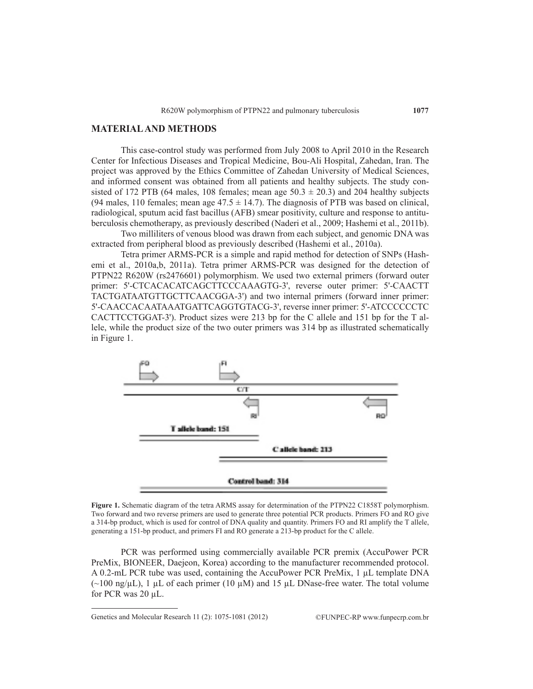## **MATERIAL AND METHODS**

This case-control study was performed from July 2008 to April 2010 in the Research Center for Infectious Diseases and Tropical Medicine, Bou-Ali Hospital, Zahedan, Iran. The project was approved by the Ethics Committee of Zahedan University of Medical Sciences, and informed consent was obtained from all patients and healthy subjects. The study consisted of 172 PTB (64 males, 108 females; mean age  $50.3 \pm 20.3$ ) and 204 healthy subjects (94 males, 110 females; mean age  $47.5 \pm 14.7$ ). The diagnosis of PTB was based on clinical, radiological, sputum acid fast bacillus (AFB) smear positivity, culture and response to antituberculosis chemotherapy, as previously described (Naderi et al., 2009; Hashemi et al., 2011b).

Two milliliters of venous blood was drawn from each subject, and genomic DNA was extracted from peripheral blood as previously described (Hashemi et al., 2010a).

Tetra primer ARMS-PCR is a simple and rapid method for detection of SNPs (Hashemi et al., 2010a,b, 2011a). Tetra primer ARMS-PCR was designed for the detection of PTPN22 R620W (rs2476601) polymorphism. We used two external primers (forward outer primer: 5'-CTCACACATCAGCTTCCCAAAGTG-3', reverse outer primer: 5'-CAACTT TACTGATAATGTTGCTTCAACGGA-3') and two internal primers (forward inner primer: 5'-CAACCACAATAAATGATTCAGGTGTACG-3', reverse inner primer: 5'-ATCCCCCCTC CACTTCCTGGAT-3'). Product sizes were 213 bp for the C allele and 151 bp for the T allele, while the product size of the two outer primers was 314 bp as illustrated schematically in Figure 1.



**Figure 1.** Schematic diagram of the tetra ARMS assay for determination of the PTPN22 C1858T polymorphism. Two forward and two reverse primers are used to generate three potential PCR products. Primers FO and RO give a 314-bp product, which is used for control of DNA quality and quantity. Primers FO and RI amplify the T allele, generating a 151-bp product, and primers FI and RO generate a 213-bp product for the C allele.

PCR was performed using commercially available PCR premix (AccuPower PCR PreMix, BIONEER, Daejeon, Korea) according to the manufacturer recommended protocol. A 0.2-mL PCR tube was used, containing the AccuPower PCR PreMix, 1 µL template DNA  $(\sim 100 \text{ ng/µL})$ , 1 µL of each primer (10 µM) and 15 µL DNase-free water. The total volume for PCR was 20 µL.

Genetics and Molecular Research 11 (2): 1075-1081 (2012) ©FUNPEC-RP www.funpecrp.com.br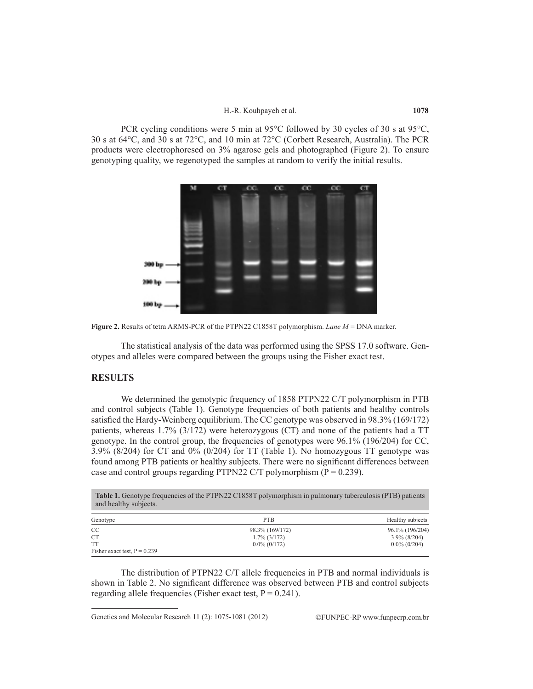PCR cycling conditions were 5 min at 95°C followed by 30 cycles of 30 s at 95°C, 30 s at 64°C, and 30 s at 72°C, and 10 min at 72°C (Corbett Research, Australia). The PCR products were electrophoresed on 3% agarose gels and photographed (Figure 2). To ensure genotyping quality, we regenotyped the samples at random to verify the initial results.





The statistical analysis of the data was performed using the SPSS 17.0 software. Genotypes and alleles were compared between the groups using the Fisher exact test.

## **RESULTS**

We determined the genotypic frequency of 1858 PTPN22 C/T polymorphism in PTB and control subjects (Table 1). Genotype frequencies of both patients and healthy controls satisfied the Hardy-Weinberg equilibrium. The CC genotype was observed in 98.3% (169/172) patients, whereas 1.7% (3/172) were heterozygous (CT) and none of the patients had a TT genotype. In the control group, the frequencies of genotypes were 96.1% (196/204) for CC, 3.9% (8/204) for CT and 0% (0/204) for TT (Table 1). No homozygous TT genotype was found among PTB patients or healthy subjects. There were no significant differences between case and control groups regarding PTPN22 C/T polymorphism ( $P = 0.239$ ).

| <b>Table 1.</b> Genotype frequencies of the PTPN22 C1858T polymorphism in pulmonary tuberculosis (PTB) patients<br>and healthy subjects. |                 |                  |  |
|------------------------------------------------------------------------------------------------------------------------------------------|-----------------|------------------|--|
| Genotype                                                                                                                                 | PT <sub>B</sub> | Healthy subjects |  |
| CC.                                                                                                                                      | 98.3% (169/172) | 96.1% (196/204)  |  |
| <b>CT</b>                                                                                                                                | $1.7\%$ (3/172) | $3.9\%$ (8/204)  |  |
| TT                                                                                                                                       | $0.0\%$ (0/172) | $0.0\%$ (0/204)  |  |
| Fisher exact test, $P = 0.239$                                                                                                           |                 |                  |  |

The distribution of PTPN22 C/T allele frequencies in PTB and normal individuals is shown in Table 2. No significant difference was observed between PTB and control subjects regarding allele frequencies (Fisher exact test,  $P = 0.241$ ).

Genetics and Molecular Research 11 (2): 1075-1081 (2012) ©FUNPEC-RP www.funpecrp.com.br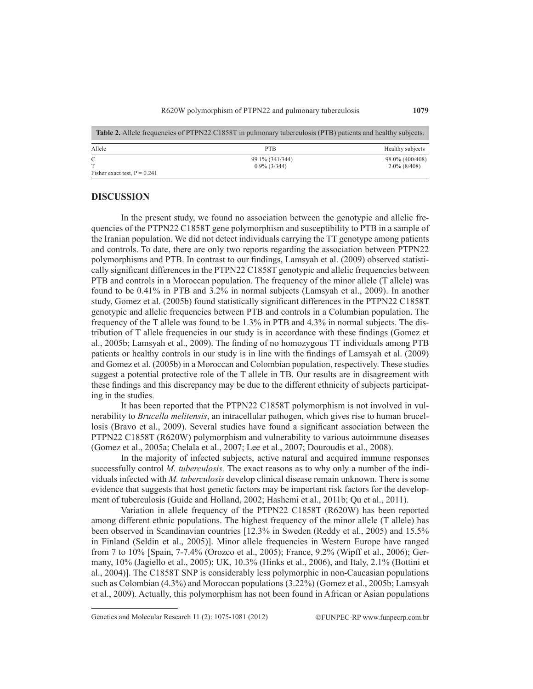| <b>Table 2.</b> Allele frequencies of PTPN22 C1858T in pulmonary tuberculosis (PTB) patients and healthy subjects. |                 |                  |  |
|--------------------------------------------------------------------------------------------------------------------|-----------------|------------------|--|
| Allele                                                                                                             | PTB.            | Healthy subjects |  |
| C                                                                                                                  | 99.1% (341/344) | 98.0% (400/408)  |  |
| Fisher exact test, $P = 0.241$                                                                                     | $0.9\%$ (3/344) | $2.0\%$ (8/408)  |  |

#### **DISCUSSION**

In the present study, we found no association between the genotypic and allelic frequencies of the PTPN22 C1858T gene polymorphism and susceptibility to PTB in a sample of the Iranian population. We did not detect individuals carrying the TT genotype among patients and controls. To date, there are only two reports regarding the association between PTPN22 polymorphisms and PTB. In contrast to our findings, Lamsyah et al. (2009) observed statistically significant differences in the PTPN22 C1858T genotypic and allelic frequencies between PTB and controls in a Moroccan population. The frequency of the minor allele (T allele) was found to be 0.41% in PTB and 3.2% in normal subjects (Lamsyah et al., 2009). In another study, Gomez et al. (2005b) found statistically significant differences in the PTPN22 C1858T genotypic and allelic frequencies between PTB and controls in a Columbian population. The frequency of the T allele was found to be 1.3% in PTB and 4.3% in normal subjects. The distribution of T allele frequencies in our study is in accordance with these findings (Gomez et al., 2005b; Lamsyah et al., 2009). The finding of no homozygous TT individuals among PTB patients or healthy controls in our study is in line with the findings of Lamsyah et al. (2009) and Gomez et al. (2005b) in a Moroccan and Colombian population, respectively. These studies suggest a potential protective role of the T allele in TB. Our results are in disagreement with these findings and this discrepancy may be due to the different ethnicity of subjects participating in the studies.

It has been reported that the PTPN22 C1858T polymorphism is not involved in vulnerability to *Brucella melitensis*, an intracellular pathogen, which gives rise to human brucellosis (Bravo et al., 2009). Several studies have found a significant association between the PTPN22 C1858T (R620W) polymorphism and vulnerability to various autoimmune diseases (Gomez et al., 2005a; Chelala et al., 2007; Lee et al., 2007; Douroudis et al., 2008).

In the majority of infected subjects, active natural and acquired immune responses successfully control *M. tuberculosis*. The exact reasons as to why only a number of the individuals infected with *M. tuberculosis* develop clinical disease remain unknown. There is some evidence that suggests that host genetic factors may be important risk factors for the development of tuberculosis (Guide and Holland, 2002; Hashemi et al., 2011b; Qu et al., 2011).

Variation in allele frequency of the PTPN22 C1858T (R620W) has been reported among different ethnic populations. The highest frequency of the minor allele (T allele) has been observed in Scandinavian countries [12.3% in Sweden (Reddy et al., 2005) and 15.5% in Finland (Seldin et al., 2005)]. Minor allele frequencies in Western Europe have ranged from 7 to 10% [Spain, 7-7.4% (Orozco et al., 2005); France, 9.2% (Wipff et al., 2006); Germany, 10% (Jagiello et al., 2005); UK, 10.3% (Hinks et al., 2006), and Italy, 2.1% (Bottini et al., 2004)]. The C1858T SNP is considerably less polymorphic in non-Caucasian populations such as Colombian (4.3%) and Moroccan populations (3.22%) (Gomez et al., 2005b; Lamsyah et al., 2009). Actually, this polymorphism has not been found in African or Asian populations

Genetics and Molecular Research 11 (2): 1075-1081 (2012) ©FUNPEC-RP www.funpecrp.com.br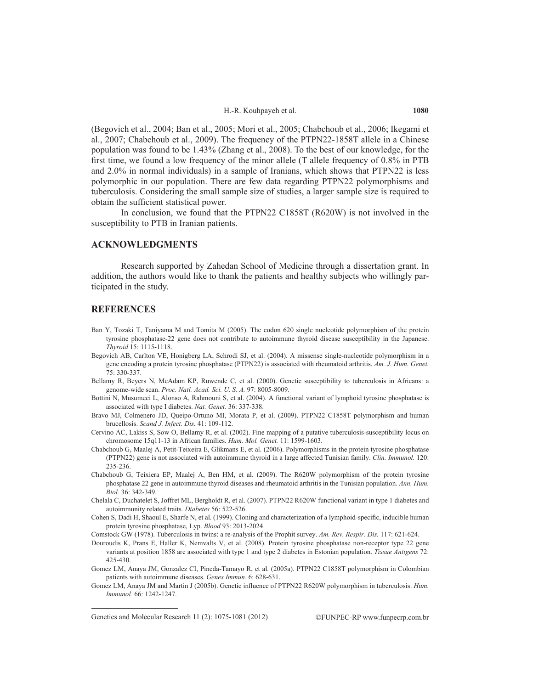(Begovich et al., 2004; Ban et al., 2005; Mori et al., 2005; Chabchoub et al., 2006; Ikegami et al., 2007; Chabchoub et al., 2009). The frequency of the PTPN22-1858T allele in a Chinese population was found to be 1.43% (Zhang et al., 2008). To the best of our knowledge, for the first time, we found a low frequency of the minor allele (T allele frequency of 0.8% in PTB and 2.0% in normal individuals) in a sample of Iranians, which shows that PTPN22 is less polymorphic in our population. There are few data regarding PTPN22 polymorphisms and tuberculosis. Considering the small sample size of studies, a larger sample size is required to obtain the sufficient statistical power.

In conclusion, we found that the PTPN22 C1858T (R620W) is not involved in the susceptibility to PTB in Iranian patients.

### **ACKNOWLEDGMENTS**

Research supported by Zahedan School of Medicine through a dissertation grant. In addition, the authors would like to thank the patients and healthy subjects who willingly participated in the study.

#### **REFERENCES**

- Ban Y, Tozaki T, Taniyama M and Tomita M (2005). The codon 620 single nucleotide polymorphism of the protein tyrosine phosphatase-22 gene does not contribute to autoimmune thyroid disease susceptibility in the Japanese. *Thyroid* 15: 1115-1118.
- Begovich AB, Carlton VE, Honigberg LA, Schrodi SJ, et al. (2004). A missense single-nucleotide polymorphism in a gene encoding a protein tyrosine phosphatase (PTPN22) is associated with rheumatoid arthritis. *Am. J. Hum. Genet.* 75: 330-337.
- Bellamy R, Beyers N, McAdam KP, Ruwende C, et al. (2000). Genetic susceptibility to tuberculosis in Africans: a genome-wide scan. *Proc. Natl. Acad. Sci. U. S. A.* 97: 8005-8009.
- Bottini N, Musumeci L, Alonso A, Rahmouni S, et al. (2004). A functional variant of lymphoid tyrosine phosphatase is associated with type I diabetes. *Nat. Genet.* 36: 337-338.
- Bravo MJ, Colmenero JD, Queipo-Ortuno MI, Morata P, et al. (2009). PTPN22 C1858T polymorphism and human brucellosis. *Scand J. Infect. Dis.* 41: 109-112.
- Cervino AC, Lakiss S, Sow O, Bellamy R, et al. (2002). Fine mapping of a putative tuberculosis-susceptibility locus on chromosome 15q11-13 in African families. *Hum. Mol. Genet.* 11: 1599-1603.
- Chabchoub G, Maalej A, Petit-Teixeira E, Glikmans E, et al. (2006). Polymorphisms in the protein tyrosine phosphatase (PTPN22) gene is not associated with autoimmune thyroid in a large affected Tunisian family. *Clin. Immunol.* 120: 235-236.
- Chabchoub G, Teixiera EP, Maalej A, Ben HM, et al. (2009). The R620W polymorphism of the protein tyrosine phosphatase 22 gene in autoimmune thyroid diseases and rheumatoid arthritis in the Tunisian population. *Ann. Hum. Biol.* 36: 342-349.
- Chelala C, Duchatelet S, Joffret ML, Bergholdt R, et al. (2007). PTPN22 R620W functional variant in type 1 diabetes and autoimmunity related traits. *Diabetes* 56: 522-526.
- Cohen S, Dadi H, Shaoul E, Sharfe N, et al. (1999). Cloning and characterization of a lymphoid-specific, inducible human protein tyrosine phosphatase, Lyp. *Blood* 93: 2013-2024.
- Comstock GW (1978). Tuberculosis in twins: a re-analysis of the Prophit survey. *Am. Rev. Respir. Dis.* 117: 621-624.
- Douroudis K, Prans E, Haller K, Nemvalts V, et al. (2008). Protein tyrosine phosphatase non-receptor type 22 gene variants at position 1858 are associated with type 1 and type 2 diabetes in Estonian population. *Tissue Antigens* 72: 425-430.
- Gomez LM, Anaya JM, Gonzalez CI, Pineda-Tamayo R, et al. (2005a). PTPN22 C1858T polymorphism in Colombian patients with autoimmune diseases. *Genes Immun.* 6: 628-631.
- Gomez LM, Anaya JM and Martin J (2005b). Genetic influence of PTPN22 R620W polymorphism in tuberculosis. *Hum. Immunol.* 66: 1242-1247.

Genetics and Molecular Research 11 (2): 1075-1081 (2012) ©FUNPEC-RP www.funpecrp.com.br